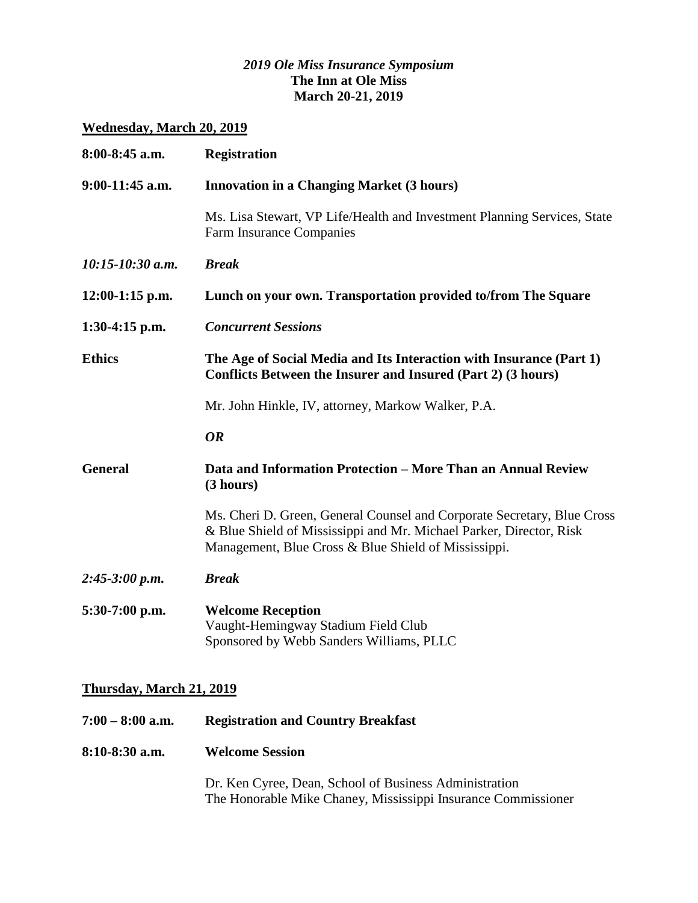## *2019 Ole Miss Insurance Symposium* **The Inn at Ole Miss March 20-21, 2019**

## **Wednesday, March 20, 2019**

| 8:00-8:45 a.m.                  | <b>Registration</b>                                                                                                                                                                                    |
|---------------------------------|--------------------------------------------------------------------------------------------------------------------------------------------------------------------------------------------------------|
| $9:00-11:45$ a.m.               | <b>Innovation in a Changing Market (3 hours)</b>                                                                                                                                                       |
|                                 | Ms. Lisa Stewart, VP Life/Health and Investment Planning Services, State<br>Farm Insurance Companies                                                                                                   |
| $10:15-10:30$ a.m.              | <b>Break</b>                                                                                                                                                                                           |
| $12:00-1:15$ p.m.               | Lunch on your own. Transportation provided to/from The Square                                                                                                                                          |
| 1:30-4:15 p.m.                  | <b>Concurrent Sessions</b>                                                                                                                                                                             |
| <b>Ethics</b>                   | The Age of Social Media and Its Interaction with Insurance (Part 1)<br>Conflicts Between the Insurer and Insured (Part 2) (3 hours)                                                                    |
|                                 | Mr. John Hinkle, IV, attorney, Markow Walker, P.A.                                                                                                                                                     |
|                                 | <b>OR</b>                                                                                                                                                                                              |
| <b>General</b>                  | Data and Information Protection - More Than an Annual Review<br>(3 hours)                                                                                                                              |
|                                 | Ms. Cheri D. Green, General Counsel and Corporate Secretary, Blue Cross<br>& Blue Shield of Mississippi and Mr. Michael Parker, Director, Risk<br>Management, Blue Cross & Blue Shield of Mississippi. |
| $2:45-3:00 p.m.$                | <b>Break</b>                                                                                                                                                                                           |
| 5:30-7:00 p.m.                  | <b>Welcome Reception</b><br>Vaught-Hemingway Stadium Field Club<br>Sponsored by Webb Sanders Williams, PLLC                                                                                            |
| <b>Thursday, March 21, 2019</b> |                                                                                                                                                                                                        |
| $7:00 - 8:00$ a.m.              | <b>Registration and Country Breakfast</b>                                                                                                                                                              |

**8:10-8:30 a.m. Welcome Session**

Dr. Ken Cyree, Dean, School of Business Administration The Honorable Mike Chaney, Mississippi Insurance Commissioner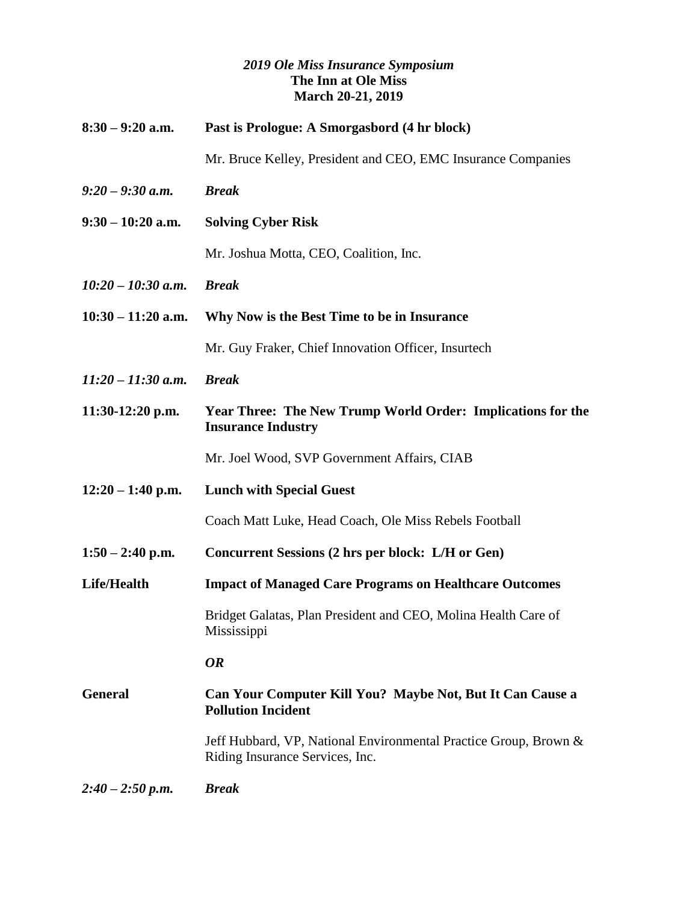## *2019 Ole Miss Insurance Symposium* **The Inn at Ole Miss March 20-21, 2019**

| $8:30 - 9:20$ a.m.   | Past is Prologue: A Smorgasbord (4 hr block)                                                        |
|----------------------|-----------------------------------------------------------------------------------------------------|
|                      | Mr. Bruce Kelley, President and CEO, EMC Insurance Companies                                        |
| $9:20 - 9:30$ a.m.   | <b>Break</b>                                                                                        |
| $9:30 - 10:20$ a.m.  | <b>Solving Cyber Risk</b>                                                                           |
|                      | Mr. Joshua Motta, CEO, Coalition, Inc.                                                              |
| $10:20 - 10:30$ a.m. | <b>Break</b>                                                                                        |
| $10:30 - 11:20$ a.m. | Why Now is the Best Time to be in Insurance                                                         |
|                      | Mr. Guy Fraker, Chief Innovation Officer, Insurtech                                                 |
| $11:20 - 11:30$ a.m. | <b>Break</b>                                                                                        |
| $11:30-12:20$ p.m.   | Year Three: The New Trump World Order: Implications for the<br><b>Insurance Industry</b>            |
|                      | Mr. Joel Wood, SVP Government Affairs, CIAB                                                         |
| $12:20 - 1:40$ p.m.  | <b>Lunch with Special Guest</b>                                                                     |
|                      | Coach Matt Luke, Head Coach, Ole Miss Rebels Football                                               |
| $1:50 - 2:40$ p.m.   | Concurrent Sessions (2 hrs per block: L/H or Gen)                                                   |
| Life/Health          | <b>Impact of Managed Care Programs on Healthcare Outcomes</b>                                       |
|                      | Bridget Galatas, Plan President and CEO, Molina Health Care of<br>Mississippi                       |
|                      | <b>OR</b>                                                                                           |
| <b>General</b>       | Can Your Computer Kill You? Maybe Not, But It Can Cause a<br><b>Pollution Incident</b>              |
|                      | Jeff Hubbard, VP, National Environmental Practice Group, Brown &<br>Riding Insurance Services, Inc. |
| $2:40 - 2:50 p.m.$   | <b>Break</b>                                                                                        |